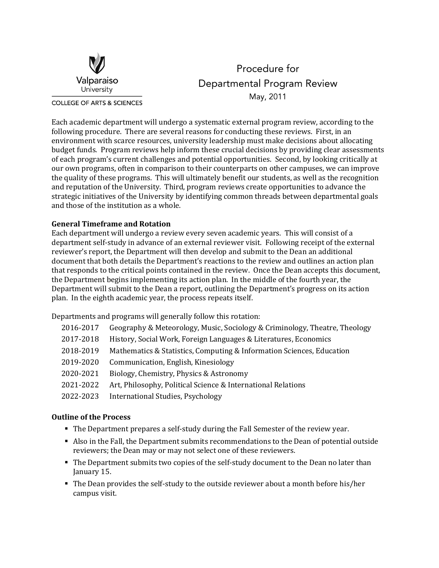

Procedure for Departmental Program Review May, 2011

Each academic department will undergo a systematic external program review, according to the following procedure. There are several reasons for conducting these reviews. First, in an environment with scarce resources, university leadership must make decisions about allocating budget funds. Program reviews help inform these crucial decisions by providing clear assessments of each program's current challenges and potential opportunities. Second, by looking critically at our own programs, often in comparison to their counterparts on other campuses, we can improve the quality of these programs. This will ultimately benefit our students, as well as the recognition and reputation of the University. Third, program reviews create opportunities to advance the strategic initiatives of the University by identifying common threads between departmental goals and those of the institution as a whole.

# **General Timeframe and Rotation**

Each department will undergo a review every seven academic years. This will consist of a department self-study in advance of an external reviewer visit. Following receipt of the external reviewer's report, the Department will then develop and submit to the Dean an additional document that both details the Department's reactions to the review and outlines an action plan that responds to the critical points contained in the review. Once the Dean accepts this document, the Department begins implementing its action plan. In the middle of the fourth year, the Department will submit to the Dean a report, outlining the Department's progress on its action plan. In the eighth academic year, the process repeats itself.

Departments and programs will generally follow this rotation:

| 2016-2017 | Geography & Meteorology, Music, Sociology & Criminology, Theatre, Theology |
|-----------|----------------------------------------------------------------------------|
| 2017-2018 | History, Social Work, Foreign Languages & Literatures, Economics           |
| 2018-2019 | Mathematics & Statistics, Computing & Information Sciences, Education      |
| 2019-2020 | Communication, English, Kinesiology                                        |
| 2020-2021 | Biology, Chemistry, Physics & Astronomy                                    |
| 2021-2022 | Art, Philosophy, Political Science & International Relations               |
| 2022-2023 | International Studies, Psychology                                          |
|           |                                                                            |

## **Outline of the Process**

- The Department prepares a self-study during the Fall Semester of the review year.
- Also in the Fall, the Department submits recommendations to the Dean of potential outside reviewers; the Dean may or may not select one of these reviewers.
- The Department submits two copies of the self-study document to the Dean no later than January 15.
- The Dean provides the self-study to the outside reviewer about a month before his/her campus visit.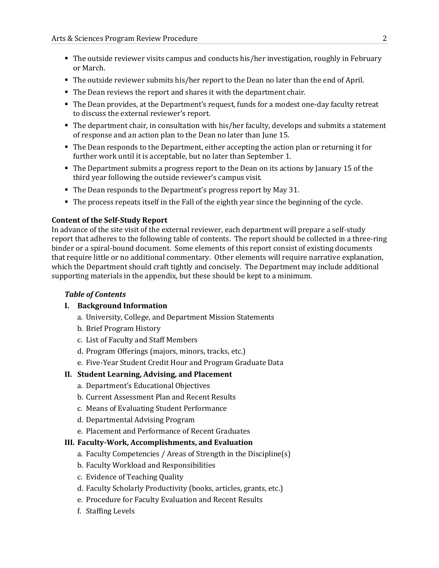- The outside reviewer visits campus and conducts his/her investigation, roughly in February or March.
- The outside reviewer submits his/her report to the Dean no later than the end of April.
- The Dean reviews the report and shares it with the department chair.
- The Dean provides, at the Department's request, funds for a modest one-day faculty retreat to discuss the external reviewer's report.
- The department chair, in consultation with his/her faculty, develops and submits a statement of response and an action plan to the Dean no later than June 15.
- The Dean responds to the Department, either accepting the action plan or returning it for further work until it is acceptable, but no later than September 1.
- The Department submits a progress report to the Dean on its actions by January 15 of the third year following the outside reviewer's campus visit.
- The Dean responds to the Department's progress report by May 31.
- The process repeats itself in the Fall of the eighth year since the beginning of the cycle.

#### **Content of the Self-Study Report**

In advance of the site visit of the external reviewer, each department will prepare a self-study report that adheres to the following table of contents. The report should be collected in a three-ring binder or a spiral-bound document. Some elements of this report consist of existing documents that require little or no additional commentary. Other elements will require narrative explanation, which the Department should craft tightly and concisely. The Department may include additional supporting materials in the appendix, but these should be kept to a minimum.

#### *Table of Contents*

## **I. Background Information**

- a. University, College, and Department Mission Statements
- b. Brief Program History
- c. List of Faculty and Staff Members
- d. Program Offerings (majors, minors, tracks, etc.)
- e. Five-Year Student Credit Hour and Program Graduate Data

#### **II. Student Learning, Advising, and Placement**

- a. Department's Educational Objectives
- b. Current Assessment Plan and Recent Results
- c. Means of Evaluating Student Performance
- d. Departmental Advising Program
- e. Placement and Performance of Recent Graduates

#### **III. Faculty-Work, Accomplishments, and Evaluation**

- a. Faculty Competencies / Areas of Strength in the Discipline(s)
- b. Faculty Workload and Responsibilities
- c. Evidence of Teaching Quality
- d. Faculty Scholarly Productivity (books, articles, grants, etc.)
- e. Procedure for Faculty Evaluation and Recent Results
- f. Staffing Levels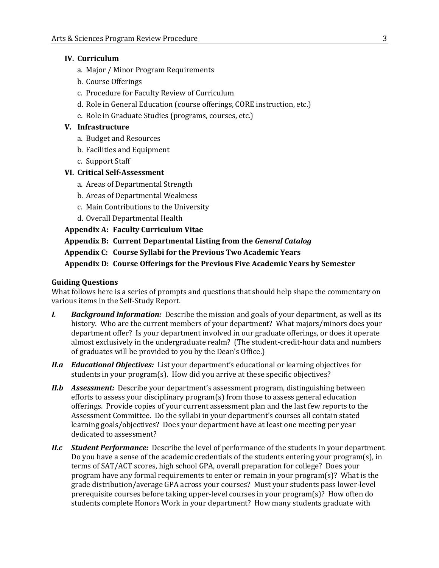## **IV. Curriculum**

- a. Major / Minor Program Requirements
- b. Course Offerings
- c. Procedure for Faculty Review of Curriculum
- d. Role in General Education (course offerings, CORE instruction, etc.)
- e. Role in Graduate Studies (programs, courses, etc.)

### **V. Infrastructure**

- a. Budget and Resources
- b. Facilities and Equipment
- c. Support Staff

## **VI. Critical Self-Assessment**

- a. Areas of Departmental Strength
- b. Areas of Departmental Weakness
- c. Main Contributions to the University
- d. Overall Departmental Health

**Appendix A: Faculty Curriculum Vitae**

**Appendix B: Current Departmental Listing from the** *General Catalog*

**Appendix C: Course Syllabi for the Previous Two Academic Years**

**Appendix D: Course Offerings for the Previous Five Academic Years by Semester**

### **Guiding Questions**

What follows here is a series of prompts and questions that should help shape the commentary on various items in the Self-Study Report.

- *I. Background Information:* Describe the mission and goals of your department, as well as its history. Who are the current members of your department? What majors/minors does your department offer? Is your department involved in our graduate offerings, or does it operate almost exclusively in the undergraduate realm? (The student-credit-hour data and numbers of graduates will be provided to you by the Dean's Office.)
- *II.a Educational Objectives:* List your department's educational or learning objectives for students in your program(s). How did you arrive at these specific objectives?
- *II.b Assessment:* Describe your department's assessment program, distinguishing between efforts to assess your disciplinary program(s) from those to assess general education offerings. Provide copies of your current assessment plan and the last few reports to the Assessment Committee. Do the syllabi in your department's courses all contain stated learning goals/objectives? Does your department have at least one meeting per year dedicated to assessment?
- *II.c Student Performance:* Describe the level of performance of the students in your department. Do you have a sense of the academic credentials of the students entering your program(s), in terms of SAT/ACT scores, high school GPA, overall preparation for college? Does your program have any formal requirements to enter or remain in your program(s)? What is the grade distribution/average GPA across your courses? Must your students pass lower-level prerequisite courses before taking upper-level courses in your program(s)? How often do students complete Honors Work in your department? How many students graduate with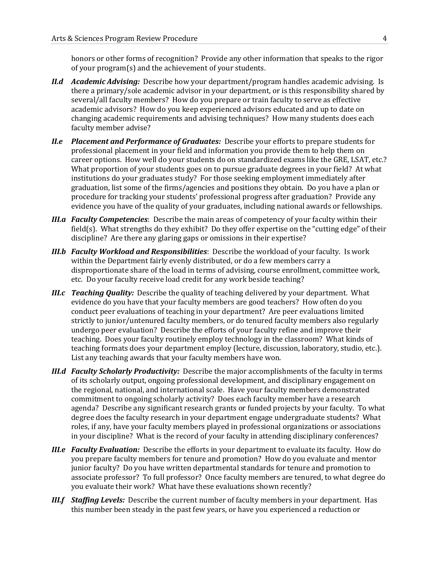honors or other forms of recognition? Provide any other information that speaks to the rigor of your program(s) and the achievement of your students.

- *II.d Academic Advising:* Describe how your department/program handles academic advising. Is there a primary/sole academic advisor in your department, or is this responsibility shared by several/all faculty members? How do you prepare or train faculty to serve as effective academic advisors? How do you keep experienced advisors educated and up to date on changing academic requirements and advising techniques? How many students does each faculty member advise?
- *II.e Placement and Performance of Graduates:* Describe your efforts to prepare students for professional placement in your field and information you provide them to help them on career options. How well do your students do on standardized exams like the GRE, LSAT, etc.? What proportion of your students goes on to pursue graduate degrees in your field? At what institutions do your graduates study? For those seeking employment immediately after graduation, list some of the firms/agencies and positions they obtain. Do you have a plan or procedure for tracking your students' professional progress after graduation? Provide any evidence you have of the quality of your graduates, including national awards or fellowships.
- *III.a Faculty Competencies*: Describe the main areas of competency of your faculty within their field(s). What strengths do they exhibit? Do they offer expertise on the "cutting edge" of their discipline? Are there any glaring gaps or omissions in their expertise?
- *III.b Faculty Workload and Responsibilities*: Describe the workload of your faculty. Is work within the Department fairly evenly distributed, or do a few members carry a disproportionate share of the load in terms of advising, course enrollment, committee work, etc. Do your faculty receive load credit for any work beside teaching?
- *III.c Teaching Quality:* Describe the quality of teaching delivered by your department. What evidence do you have that your faculty members are good teachers? How often do you conduct peer evaluations of teaching in your department? Are peer evaluations limited strictly to junior/untenured faculty members, or do tenured faculty members also regularly undergo peer evaluation? Describe the efforts of your faculty refine and improve their teaching. Does your faculty routinely employ technology in the classroom? What kinds of teaching formats does your department employ (lecture, discussion, laboratory, studio, etc.). List any teaching awards that your faculty members have won.
- *III.d Faculty Scholarly Productivity:* Describe the major accomplishments of the faculty in terms of its scholarly output, ongoing professional development, and disciplinary engagement on the regional, national, and international scale. Have your faculty members demonstrated commitment to ongoing scholarly activity? Does each faculty member have a research agenda? Describe any significant research grants or funded projects by your faculty. To what degree does the faculty research in your department engage undergraduate students? What roles, if any, have your faculty members played in professional organizations or associations in your discipline? What is the record of your faculty in attending disciplinary conferences?
- *III.e Faculty Evaluation:* Describe the efforts in your department to evaluate its faculty. How do you prepare faculty members for tenure and promotion? How do you evaluate and mentor junior faculty? Do you have written departmental standards for tenure and promotion to associate professor? To full professor? Once faculty members are tenured, to what degree do you evaluate their work? What have these evaluations shown recently?
- *III.f Staffing Levels:* Describe the current number of faculty members in your department. Has this number been steady in the past few years, or have you experienced a reduction or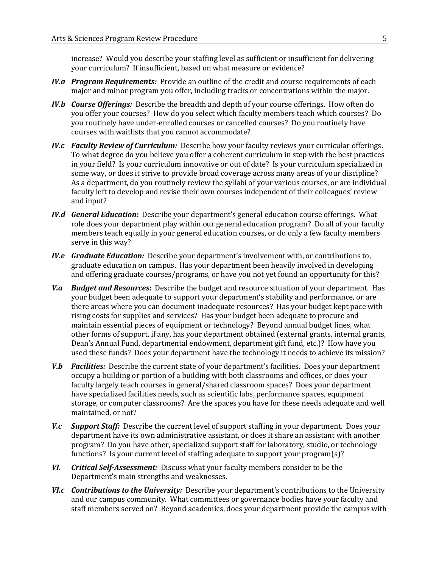increase? Would you describe your staffing level as sufficient or insufficient for delivering your curriculum? If insufficient, based on what measure or evidence?

- *IV.a Program Requirements:* Provide an outline of the credit and course requirements of each major and minor program you offer, including tracks or concentrations within the major.
- *IV.b Course Offerings:* Describe the breadth and depth of your course offerings. How often do you offer your courses? How do you select which faculty members teach which courses? Do you routinely have under-enrolled courses or cancelled courses? Do you routinely have courses with waitlists that you cannot accommodate?
- *IV.c Faculty Review of Curriculum:* Describe how your faculty reviews your curricular offerings. To what degree do you believe you offer a coherent curriculum in step with the best practices in your field? Is your curriculum innovative or out of date? Is your curriculum specialized in some way, or does it strive to provide broad coverage across many areas of your discipline? As a department, do you routinely review the syllabi of your various courses, or are individual faculty left to develop and revise their own courses independent of their colleagues' review and input?
- *IV.d General Education:* Describe your department's general education course offerings. What role does your department play within our general education program? Do all of your faculty members teach equally in your general education courses, or do only a few faculty members serve in this way?
- *IV.e Graduate Education:* Describe your department's involvement with, or contributions to, graduate education on campus. Has your department been heavily involved in developing and offering graduate courses/programs, or have you not yet found an opportunity for this?
- *V.a Budget and Resources:* Describe the budget and resource situation of your department. Has your budget been adequate to support your department's stability and performance, or are there areas where you can document inadequate resources? Has your budget kept pace with rising costs for supplies and services? Has your budget been adequate to procure and maintain essential pieces of equipment or technology? Beyond annual budget lines, what other forms of support, if any, has your department obtained (external grants, internal grants, Dean's Annual Fund, departmental endowment, department gift fund, etc.)? How have you used these funds? Does your department have the technology it needs to achieve its mission?
- *V.b Facilities:* Describe the current state of your department's facilities. Does your department occupy a building or portion of a building with both classrooms and offices, or does your faculty largely teach courses in general/shared classroom spaces? Does your department have specialized facilities needs, such as scientific labs, performance spaces, equipment storage, or computer classrooms? Are the spaces you have for these needs adequate and well maintained, or not?
- *V.c Support Staff:* Describe the current level of support staffing in your department. Does your department have its own administrative assistant, or does it share an assistant with another program? Do you have other, specialized support staff for laboratory, studio, or technology functions? Is your current level of staffing adequate to support your program(s)?
- *VI. Critical Self-Assessment:* Discuss what your faculty members consider to be the Department's main strengths and weaknesses.
- *VI.c Contributions to the University:* Describe your department's contributions to the University and our campus community. What committees or governance bodies have your faculty and staff members served on? Beyond academics, does your department provide the campus with